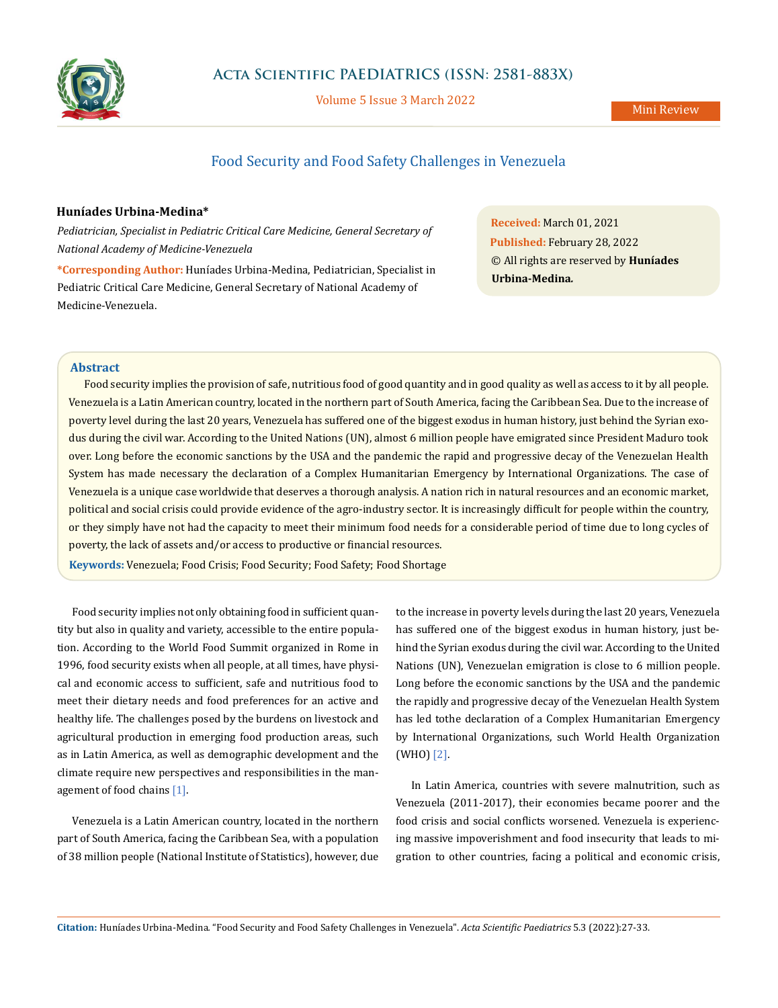

Volume 5 Issue 3 March 2022

# Food Security and Food Safety Challenges in Venezuela

#### **Huníades Urbina-Medina\***

*Pediatrician, Specialist in Pediatric Critical Care Medicine, General Secretary of National Academy of Medicine-Venezuela*

**\*Corresponding Author:** Huníades Urbina-Medina, Pediatrician, Specialist in Pediatric Critical Care Medicine, General Secretary of National Academy of Medicine-Venezuela.

**Received:** March 01, 2021 **Published:** February 28, 2022 © All rights are reserved by **Huníades Urbina-Medina***.*

## **Abstract**

Food security implies the provision of safe, nutritious food of good quantity and in good quality as well as access to it by all people. Venezuela is a Latin American country, located in the northern part of South America, facing the Caribbean Sea. Due to the increase of poverty level during the last 20 years, Venezuela has suffered one of the biggest exodus in human history, just behind the Syrian exodus during the civil war. According to the United Nations (UN), almost 6 million people have emigrated since President Maduro took over. Long before the economic sanctions by the USA and the pandemic the rapid and progressive decay of the Venezuelan Health System has made necessary the declaration of a Complex Humanitarian Emergency by International Organizations. The case of Venezuela is a unique case worldwide that deserves a thorough analysis. A nation rich in natural resources and an economic market, political and social crisis could provide evidence of the agro-industry sector. It is increasingly difficult for people within the country, or they simply have not had the capacity to meet their minimum food needs for a considerable period of time due to long cycles of poverty, the lack of assets and/or access to productive or financial resources.

**Keywords:** Venezuela; Food Crisis; Food Security; Food Safety; Food Shortage

Food security implies not only obtaining food in sufficient quantity but also in quality and variety, accessible to the entire population. According to the World Food Summit organized in Rome in 1996, food security exists when all people, at all times, have physical and economic access to sufficient, safe and nutritious food to meet their dietary needs and food preferences for an active and healthy life. The challenges posed by the burdens on livestock and agricultural production in emerging food production areas, such as in Latin America, as well as demographic development and the climate require new perspectives and responsibilities in the management of food chains [1].

Venezuela is a Latin American country, located in the northern part of South America, facing the Caribbean Sea, with a population of 38 million people (National Institute of Statistics), however, due to the increase in poverty levels during the last 20 years, Venezuela has suffered one of the biggest exodus in human history, just behind the Syrian exodus during the civil war. According to the United Nations (UN), Venezuelan emigration is close to 6 million people. Long before the economic sanctions by the USA and the pandemic the rapidly and progressive decay of the Venezuelan Health System has led tothe declaration of a Complex Humanitarian Emergency by International Organizations, such World Health Organization (WHO) [2].

In Latin America, countries with severe malnutrition, such as Venezuela (2011-2017), their economies became poorer and the food crisis and social conflicts worsened. Venezuela is experiencing massive impoverishment and food insecurity that leads to migration to other countries, facing a political and economic crisis,

**Citation:** Huníades Urbina-Medina*.* "Food Security and Food Safety Challenges in Venezuela". *Acta Scientific Paediatrics* 5.3 (2022):27-33.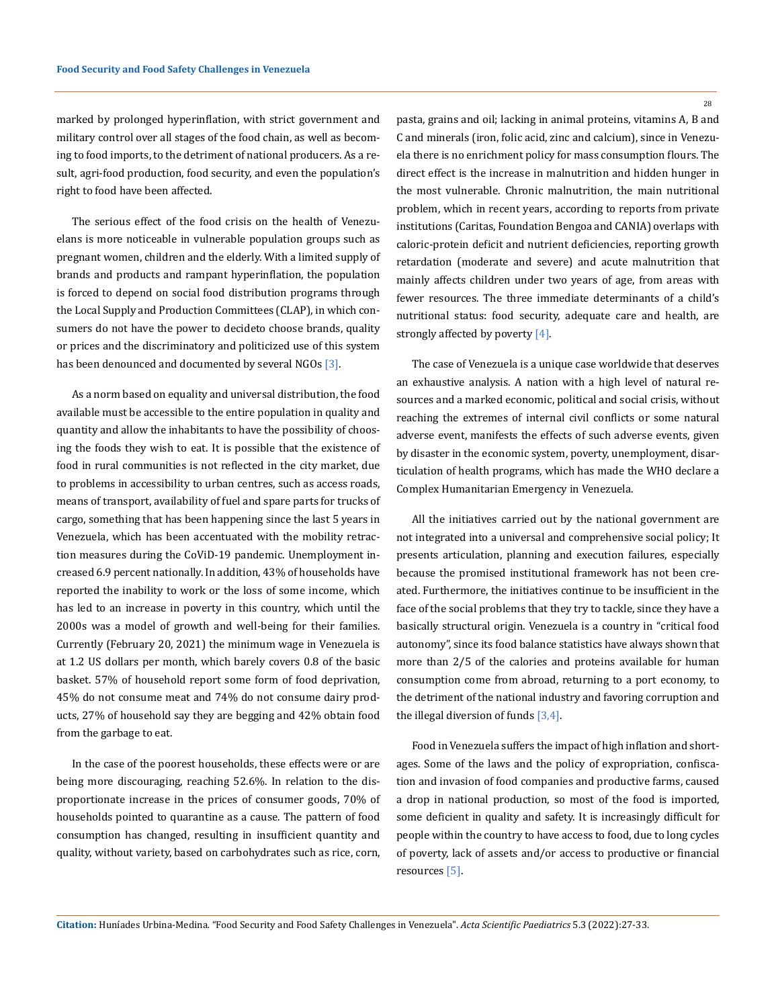marked by prolonged hyperinflation, with strict government and military control over all stages of the food chain, as well as becoming to food imports, to the detriment of national producers. As a result, agri-food production, food security, and even the population's right to food have been affected.

The serious effect of the food crisis on the health of Venezuelans is more noticeable in vulnerable population groups such as pregnant women, children and the elderly. With a limited supply of brands and products and rampant hyperinflation, the population is forced to depend on social food distribution programs through the Local Supply and Production Committees (CLAP), in which consumers do not have the power to decideto choose brands, quality or prices and the discriminatory and politicized use of this system has been denounced and documented by several NGOs [3].

As a norm based on equality and universal distribution, the food available must be accessible to the entire population in quality and quantity and allow the inhabitants to have the possibility of choosing the foods they wish to eat. It is possible that the existence of food in rural communities is not reflected in the city market, due to problems in accessibility to urban centres, such as access roads, means of transport, availability of fuel and spare parts for trucks of cargo, something that has been happening since the last 5 years in Venezuela, which has been accentuated with the mobility retraction measures during the CoViD-19 pandemic. Unemployment increased 6.9 percent nationally. In addition, 43% of households have reported the inability to work or the loss of some income, which has led to an increase in poverty in this country, which until the 2000s was a model of growth and well-being for their families. Currently (February 20, 2021) the minimum wage in Venezuela is at 1.2 US dollars per month, which barely covers 0.8 of the basic basket. 57% of household report some form of food deprivation, 45% do not consume meat and 74% do not consume dairy products, 27% of household say they are begging and 42% obtain food from the garbage to eat.

In the case of the poorest households, these effects were or are being more discouraging, reaching 52.6%. In relation to the disproportionate increase in the prices of consumer goods, 70% of households pointed to quarantine as a cause. The pattern of food consumption has changed, resulting in insufficient quantity and quality, without variety, based on carbohydrates such as rice, corn,

pasta, grains and oil; lacking in animal proteins, vitamins A, B and C and minerals (iron, folic acid, zinc and calcium), since in Venezuela there is no enrichment policy for mass consumption flours. The direct effect is the increase in malnutrition and hidden hunger in the most vulnerable. Chronic malnutrition, the main nutritional problem, which in recent years, according to reports from private institutions (Caritas, Foundation Bengoa and CANIA) overlaps with caloric-protein deficit and nutrient deficiencies, reporting growth retardation (moderate and severe) and acute malnutrition that mainly affects children under two years of age, from areas with fewer resources. The three immediate determinants of a child's nutritional status: food security, adequate care and health, are strongly affected by poverty [4].

The case of Venezuela is a unique case worldwide that deserves an exhaustive analysis. A nation with a high level of natural resources and a marked economic, political and social crisis, without reaching the extremes of internal civil conflicts or some natural adverse event, manifests the effects of such adverse events, given by disaster in the economic system, poverty, unemployment, disarticulation of health programs, which has made the WHO declare a Complex Humanitarian Emergency in Venezuela.

All the initiatives carried out by the national government are not integrated into a universal and comprehensive social policy; It presents articulation, planning and execution failures, especially because the promised institutional framework has not been created. Furthermore, the initiatives continue to be insufficient in the face of the social problems that they try to tackle, since they have a basically structural origin. Venezuela is a country in "critical food autonomy", since its food balance statistics have always shown that more than 2/5 of the calories and proteins available for human consumption come from abroad, returning to a port economy, to the detriment of the national industry and favoring corruption and the illegal diversion of funds [3,4].

Food in Venezuela suffers the impact of high inflation and shortages. Some of the laws and the policy of expropriation, confiscation and invasion of food companies and productive farms, caused a drop in national production, so most of the food is imported, some deficient in quality and safety. It is increasingly difficult for people within the country to have access to food, due to long cycles of poverty, lack of assets and/or access to productive or financial resources [5].

**Citation:** Huníades Urbina-Medina*.* "Food Security and Food Safety Challenges in Venezuela". *Acta Scientific Paediatrics* 5.3 (2022):27-33.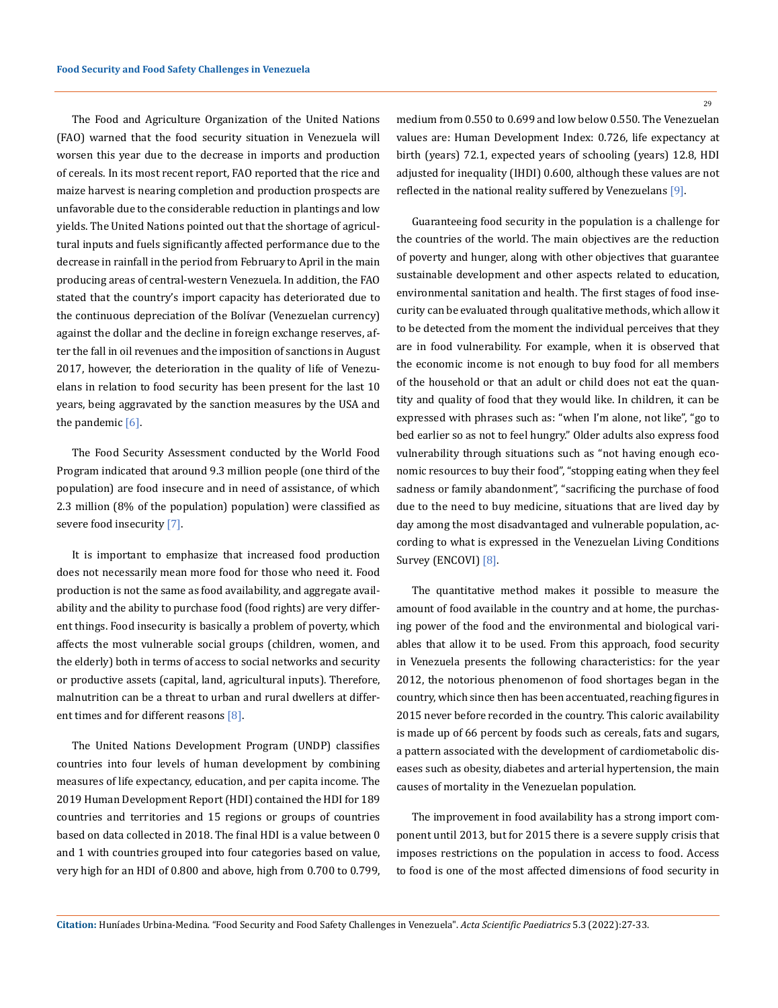The Food and Agriculture Organization of the United Nations (FAO) warned that the food security situation in Venezuela will worsen this year due to the decrease in imports and production of cereals. In its most recent report, FAO reported that the rice and maize harvest is nearing completion and production prospects are unfavorable due to the considerable reduction in plantings and low yields. The United Nations pointed out that the shortage of agricultural inputs and fuels significantly affected performance due to the decrease in rainfall in the period from February to April in the main producing areas of central-western Venezuela. In addition, the FAO stated that the country's import capacity has deteriorated due to the continuous depreciation of the Bolívar (Venezuelan currency) against the dollar and the decline in foreign exchange reserves, after the fall in oil revenues and the imposition of sanctions in August 2017, however, the deterioration in the quality of life of Venezuelans in relation to food security has been present for the last 10 years, being aggravated by the sanction measures by the USA and the pandemic  $[6]$ .

The Food Security Assessment conducted by the World Food Program indicated that around 9.3 million people (one third of the population) are food insecure and in need of assistance, of which 2.3 million (8% of the population) population) were classified as severe food insecurity [7].

It is important to emphasize that increased food production does not necessarily mean more food for those who need it. Food production is not the same as food availability, and aggregate availability and the ability to purchase food (food rights) are very different things. Food insecurity is basically a problem of poverty, which affects the most vulnerable social groups (children, women, and the elderly) both in terms of access to social networks and security or productive assets (capital, land, agricultural inputs). Therefore, malnutrition can be a threat to urban and rural dwellers at different times and for different reasons [8].

The United Nations Development Program (UNDP) classifies countries into four levels of human development by combining measures of life expectancy, education, and per capita income. The 2019 Human Development Report (HDI) contained the HDI for 189 countries and territories and 15 regions or groups of countries based on data collected in 2018. The final HDI is a value between 0 and 1 with countries grouped into four categories based on value, very high for an HDI of 0.800 and above, high from 0.700 to 0.799, 29

medium from 0.550 to 0.699 and low below 0.550. The Venezuelan values are: Human Development Index: 0.726, life expectancy at birth (years) 72.1, expected years of schooling (years) 12.8, HDI adjusted for inequality (IHDI) 0.600, although these values are not reflected in the national reality suffered by Venezuelans [9].

Guaranteeing food security in the population is a challenge for the countries of the world. The main objectives are the reduction of poverty and hunger, along with other objectives that guarantee sustainable development and other aspects related to education, environmental sanitation and health. The first stages of food insecurity can be evaluated through qualitative methods, which allow it to be detected from the moment the individual perceives that they are in food vulnerability. For example, when it is observed that the economic income is not enough to buy food for all members of the household or that an adult or child does not eat the quantity and quality of food that they would like. In children, it can be expressed with phrases such as: "when I'm alone, not like", "go to bed earlier so as not to feel hungry." Older adults also express food vulnerability through situations such as "not having enough economic resources to buy their food", "stopping eating when they feel sadness or family abandonment", "sacrificing the purchase of food due to the need to buy medicine, situations that are lived day by day among the most disadvantaged and vulnerable population, according to what is expressed in the Venezuelan Living Conditions Survey (ENCOVI) [8].

The quantitative method makes it possible to measure the amount of food available in the country and at home, the purchasing power of the food and the environmental and biological variables that allow it to be used. From this approach, food security in Venezuela presents the following characteristics: for the year 2012, the notorious phenomenon of food shortages began in the country, which since then has been accentuated, reaching figures in 2015 never before recorded in the country. This caloric availability is made up of 66 percent by foods such as cereals, fats and sugars, a pattern associated with the development of cardiometabolic diseases such as obesity, diabetes and arterial hypertension, the main causes of mortality in the Venezuelan population.

The improvement in food availability has a strong import component until 2013, but for 2015 there is a severe supply crisis that imposes restrictions on the population in access to food. Access to food is one of the most affected dimensions of food security in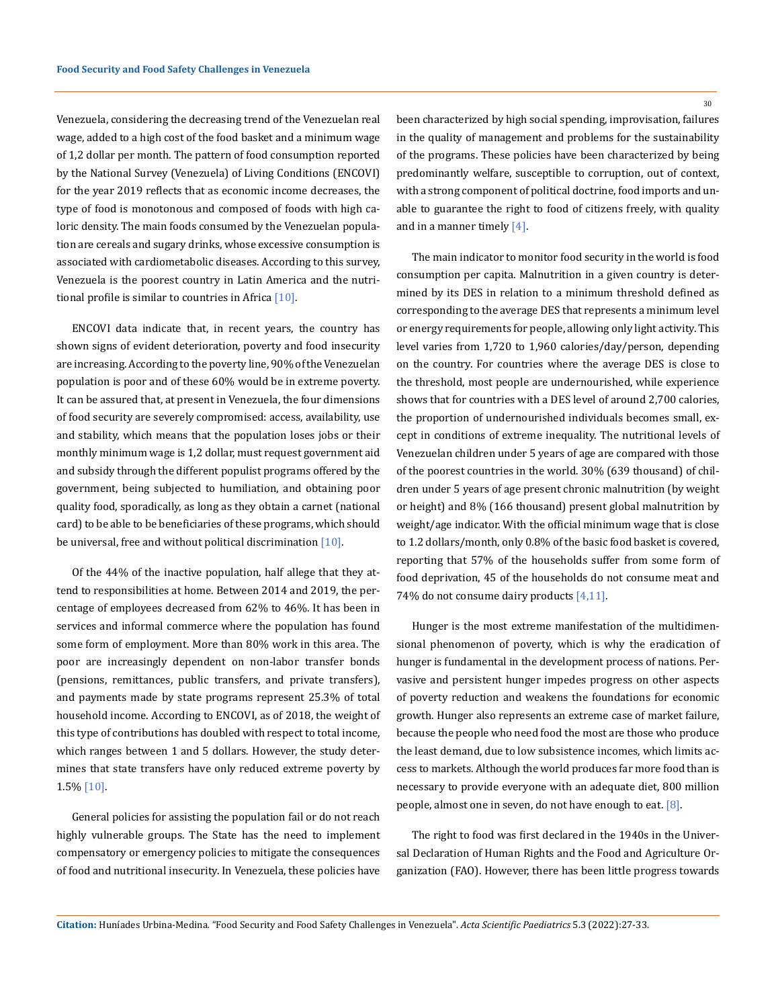Venezuela, considering the decreasing trend of the Venezuelan real wage, added to a high cost of the food basket and a minimum wage of 1,2 dollar per month. The pattern of food consumption reported by the National Survey (Venezuela) of Living Conditions (ENCOVI) for the year 2019 reflects that as economic income decreases, the type of food is monotonous and composed of foods with high caloric density. The main foods consumed by the Venezuelan population are cereals and sugary drinks, whose excessive consumption is associated with cardiometabolic diseases. According to this survey, Venezuela is the poorest country in Latin America and the nutritional profile is similar to countries in Africa [10].

ENCOVI data indicate that, in recent years, the country has shown signs of evident deterioration, poverty and food insecurity are increasing. According to the poverty line, 90% of the Venezuelan population is poor and of these 60% would be in extreme poverty. It can be assured that, at present in Venezuela, the four dimensions of food security are severely compromised: access, availability, use and stability, which means that the population loses jobs or their monthly minimum wage is 1,2 dollar, must request government aid and subsidy through the different populist programs offered by the government, being subjected to humiliation, and obtaining poor quality food, sporadically, as long as they obtain a carnet (national card) to be able to be beneficiaries of these programs, which should be universal, free and without political discrimination [10].

Of the 44% of the inactive population, half allege that they attend to responsibilities at home. Between 2014 and 2019, the percentage of employees decreased from 62% to 46%. It has been in services and informal commerce where the population has found some form of employment. More than 80% work in this area. The poor are increasingly dependent on non-labor transfer bonds (pensions, remittances, public transfers, and private transfers), and payments made by state programs represent 25.3% of total household income. According to ENCOVI, as of 2018, the weight of this type of contributions has doubled with respect to total income, which ranges between 1 and 5 dollars. However, the study determines that state transfers have only reduced extreme poverty by 1.5% [10].

General policies for assisting the population fail or do not reach highly vulnerable groups. The State has the need to implement compensatory or emergency policies to mitigate the consequences of food and nutritional insecurity. In Venezuela, these policies have been characterized by high social spending, improvisation, failures in the quality of management and problems for the sustainability of the programs. These policies have been characterized by being predominantly welfare, susceptible to corruption, out of context, with a strong component of political doctrine, food imports and unable to guarantee the right to food of citizens freely, with quality and in a manner timely [4].

The main indicator to monitor food security in the world is food consumption per capita. Malnutrition in a given country is determined by its DES in relation to a minimum threshold defined as corresponding to the average DES that represents a minimum level or energy requirements for people, allowing only light activity. This level varies from 1,720 to 1,960 calories/day/person, depending on the country. For countries where the average DES is close to the threshold, most people are undernourished, while experience shows that for countries with a DES level of around 2,700 calories, the proportion of undernourished individuals becomes small, except in conditions of extreme inequality. The nutritional levels of Venezuelan children under 5 years of age are compared with those of the poorest countries in the world. 30% (639 thousand) of children under 5 years of age present chronic malnutrition (by weight or height) and 8% (166 thousand) present global malnutrition by weight/age indicator. With the official minimum wage that is close to 1.2 dollars/month, only 0.8% of the basic food basket is covered, reporting that 57% of the households suffer from some form of food deprivation, 45 of the households do not consume meat and 74% do not consume dairy products [4,11].

Hunger is the most extreme manifestation of the multidimensional phenomenon of poverty, which is why the eradication of hunger is fundamental in the development process of nations. Pervasive and persistent hunger impedes progress on other aspects of poverty reduction and weakens the foundations for economic growth. Hunger also represents an extreme case of market failure, because the people who need food the most are those who produce the least demand, due to low subsistence incomes, which limits access to markets. Although the world produces far more food than is necessary to provide everyone with an adequate diet, 800 million people, almost one in seven, do not have enough to eat. [8].

The right to food was first declared in the 1940s in the Universal Declaration of Human Rights and the Food and Agriculture Organization (FAO). However, there has been little progress towards

30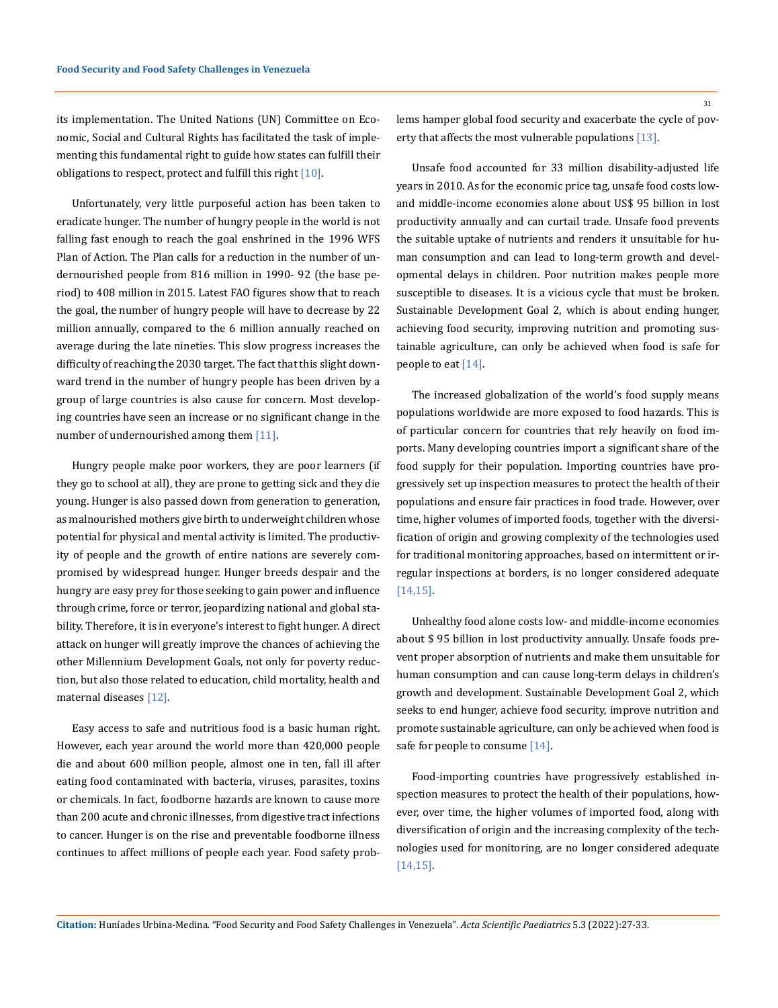its implementation. The United Nations (UN) Committee on Economic, Social and Cultural Rights has facilitated the task of implementing this fundamental right to guide how states can fulfill their obligations to respect, protect and fulfill this right [10].

Unfortunately, very little purposeful action has been taken to eradicate hunger. The number of hungry people in the world is not falling fast enough to reach the goal enshrined in the 1996 WFS Plan of Action. The Plan calls for a reduction in the number of undernourished people from 816 million in 1990- 92 (the base period) to 408 million in 2015. Latest FAO figures show that to reach the goal, the number of hungry people will have to decrease by 22 million annually, compared to the 6 million annually reached on average during the late nineties. This slow progress increases the difficulty of reaching the 2030 target. The fact that this slight downward trend in the number of hungry people has been driven by a group of large countries is also cause for concern. Most developing countries have seen an increase or no significant change in the number of undernourished among them [11].

Hungry people make poor workers, they are poor learners (if they go to school at all), they are prone to getting sick and they die young. Hunger is also passed down from generation to generation, as malnourished mothers give birth to underweight children whose potential for physical and mental activity is limited. The productivity of people and the growth of entire nations are severely compromised by widespread hunger. Hunger breeds despair and the hungry are easy prey for those seeking to gain power and influence through crime, force or terror, jeopardizing national and global stability. Therefore, it is in everyone's interest to fight hunger. A direct attack on hunger will greatly improve the chances of achieving the other Millennium Development Goals, not only for poverty reduction, but also those related to education, child mortality, health and maternal diseases [12].

Easy access to safe and nutritious food is a basic human right. However, each year around the world more than 420,000 people die and about 600 million people, almost one in ten, fall ill after eating food contaminated with bacteria, viruses, parasites, toxins or chemicals. In fact, foodborne hazards are known to cause more than 200 acute and chronic illnesses, from digestive tract infections to cancer. Hunger is on the rise and preventable foodborne illness continues to affect millions of people each year. Food safety prob31

lems hamper global food security and exacerbate the cycle of poverty that affects the most vulnerable populations [13].

Unsafe food accounted for 33 million disability-adjusted life years in 2010. As for the economic price tag, unsafe food costs lowand middle-income economies alone about US\$ 95 billion in lost productivity annually and can curtail trade. Unsafe food prevents the suitable uptake of nutrients and renders it unsuitable for human consumption and can lead to long-term growth and developmental delays in children. Poor nutrition makes people more susceptible to diseases. It is a vicious cycle that must be broken. Sustainable Development Goal 2, which is about ending hunger, achieving food security, improving nutrition and promoting sustainable agriculture, can only be achieved when food is safe for people to eat [14].

The increased globalization of the world's food supply means populations worldwide are more exposed to food hazards. This is of particular concern for countries that rely heavily on food imports. Many developing countries import a significant share of the food supply for their population. Importing countries have progressively set up inspection measures to protect the health of their populations and ensure fair practices in food trade. However, over time, higher volumes of imported foods, together with the diversification of origin and growing complexity of the technologies used for traditional monitoring approaches, based on intermittent or irregular inspections at borders, is no longer considered adequate [14,15].

Unhealthy food alone costs low- and middle-income economies about \$ 95 billion in lost productivity annually. Unsafe foods prevent proper absorption of nutrients and make them unsuitable for human consumption and can cause long-term delays in children's growth and development. Sustainable Development Goal 2, which seeks to end hunger, achieve food security, improve nutrition and promote sustainable agriculture, can only be achieved when food is safe for people to consume [14].

Food-importing countries have progressively established inspection measures to protect the health of their populations, however, over time, the higher volumes of imported food, along with diversification of origin and the increasing complexity of the technologies used for monitoring, are no longer considered adequate [14,15].

**Citation:** Huníades Urbina-Medina*.* "Food Security and Food Safety Challenges in Venezuela". *Acta Scientific Paediatrics* 5.3 (2022):27-33.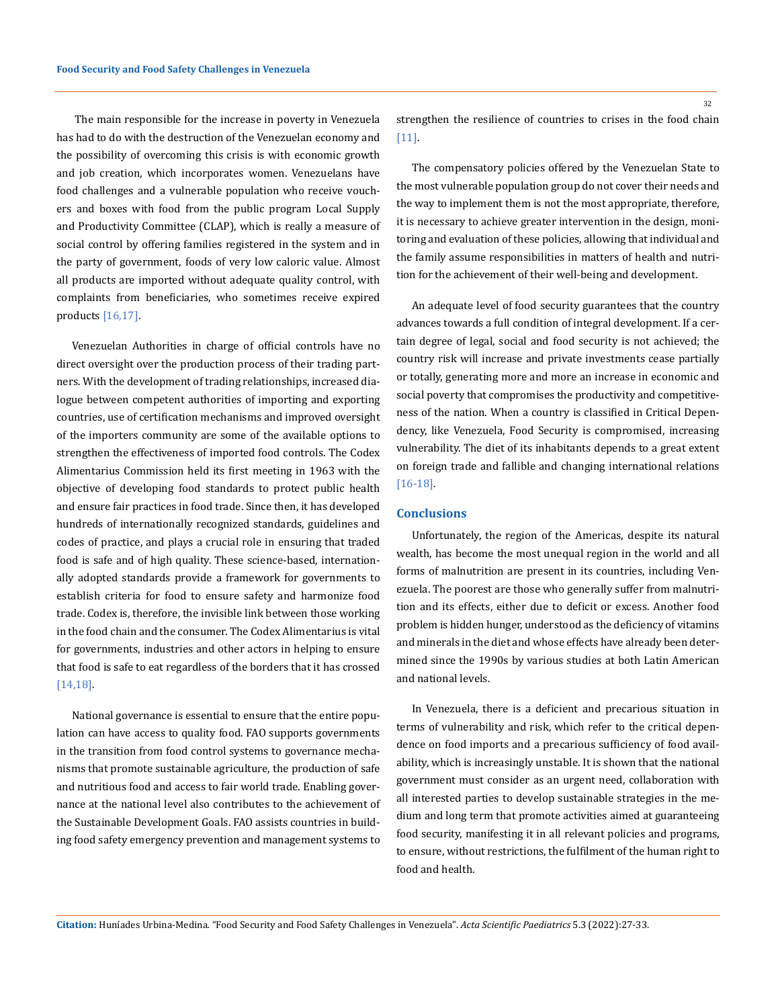The main responsible for the increase in poverty in Venezuela has had to do with the destruction of the Venezuelan economy and the possibility of overcoming this crisis is with economic growth and job creation, which incorporates women. Venezuelans have food challenges and a vulnerable population who receive vouchers and boxes with food from the public program Local Supply and Productivity Committee (CLAP), which is really a measure of social control by offering families registered in the system and in the party of government, foods of very low caloric value. Almost all products are imported without adequate quality control, with complaints from beneficiaries, who sometimes receive expired products  $[16, 17]$ .

Venezuelan Authorities in charge of official controls have no direct oversight over the production process of their trading partners. With the development of trading relationships, increased dialogue between competent authorities of importing and exporting countries, use of certification mechanisms and improved oversight of the importers community are some of the available options to strengthen the effectiveness of imported food controls. The Codex Alimentarius Commission held its first meeting in 1963 with the objective of developing food standards to protect public health and ensure fair practices in food trade. Since then, it has developed hundreds of internationally recognized standards, guidelines and codes of practice, and plays a crucial role in ensuring that traded food is safe and of high quality. These science-based, internationally adopted standards provide a framework for governments to establish criteria for food to ensure safety and harmonize food trade. Codex is, therefore, the invisible link between those working in the food chain and the consumer. The Codex Alimentarius is vital for governments, industries and other actors in helping to ensure that food is safe to eat regardless of the borders that it has crossed [14,18].

National governance is essential to ensure that the entire population can have access to quality food. FAO supports governments in the transition from food control systems to governance mechanisms that promote sustainable agriculture, the production of safe and nutritious food and access to fair world trade. Enabling governance at the national level also contributes to the achievement of the Sustainable Development Goals. FAO assists countries in building food safety emergency prevention and management systems to

strengthen the resilience of countries to crises in the food chain [11].

The compensatory policies offered by the Venezuelan State to the most vulnerable population group do not cover their needs and the way to implement them is not the most appropriate, therefore, it is necessary to achieve greater intervention in the design, monitoring and evaluation of these policies, allowing that individual and the family assume responsibilities in matters of health and nutrition for the achievement of their well-being and development.

An adequate level of food security guarantees that the country advances towards a full condition of integral development. If a certain degree of legal, social and food security is not achieved; the country risk will increase and private investments cease partially or totally, generating more and more an increase in economic and social poverty that compromises the productivity and competitiveness of the nation. When a country is classified in Critical Dependency, like Venezuela, Food Security is compromised, increasing vulnerability. The diet of its inhabitants depends to a great extent on foreign trade and fallible and changing international relations [16-18].

#### **Conclusions**

Unfortunately, the region of the Americas, despite its natural wealth, has become the most unequal region in the world and all forms of malnutrition are present in its countries, including Venezuela. The poorest are those who generally suffer from malnutrition and its effects, either due to deficit or excess. Another food problem is hidden hunger, understood as the deficiency of vitamins and minerals in the diet and whose effects have already been determined since the 1990s by various studies at both Latin American and national levels.

In Venezuela, there is a deficient and precarious situation in terms of vulnerability and risk, which refer to the critical dependence on food imports and a precarious sufficiency of food availability, which is increasingly unstable. It is shown that the national government must consider as an urgent need, collaboration with all interested parties to develop sustainable strategies in the medium and long term that promote activities aimed at guaranteeing food security, manifesting it in all relevant policies and programs, to ensure, without restrictions, the fulfilment of the human right to food and health.

**Citation:** Huníades Urbina-Medina*.* "Food Security and Food Safety Challenges in Venezuela". *Acta Scientific Paediatrics* 5.3 (2022):27-33.

32